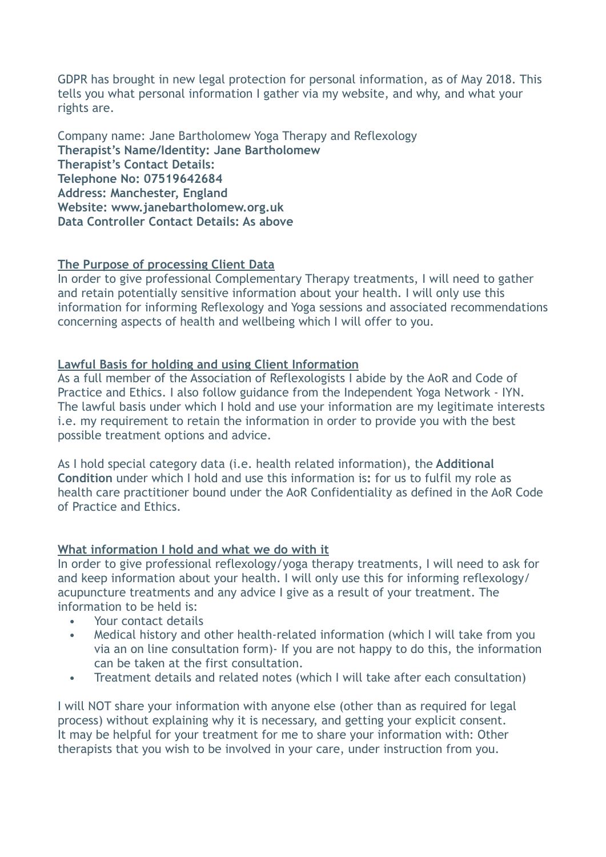GDPR has brought in new legal protection for personal information, as of May 2018. This tells you what personal information I gather via my website, and why, and what your rights are.

Company name: Jane Bartholomew Yoga Therapy and Reflexology **Therapist's Name/Identity: Jane Bartholomew Therapist's Contact Details: Telephone No: 07519642684 Address: Manchester, England Website: www.janebartholomew.org.uk Data Controller Contact Details: As above**

## **The Purpose of processing Client Data**

In order to give professional Complementary Therapy treatments, I will need to gather and retain potentially sensitive information about your health. I will only use this information for informing Reflexology and Yoga sessions and associated recommendations concerning aspects of health and wellbeing which I will offer to you.

### **Lawful Basis for holding and using Client Information**

As a full member of the Association of Reflexologists I abide by the AoR and Code of Practice and Ethics. I also follow guidance from the Independent Yoga Network - IYN. The lawful basis under which I hold and use your information are my legitimate interests i.e. my requirement to retain the information in order to provide you with the best possible treatment options and advice.

As I hold special category data (i.e. health related information), the **Additional Condition** under which I hold and use this information is**:** for us to fulfil my role as health care practitioner bound under the AoR Confidentiality as defined in the AoR Code of Practice and Ethics.

# **What information I hold and what we do with it**

In order to give professional reflexology/yoga therapy treatments, I will need to ask for and keep information about your health. I will only use this for informing reflexology/ acupuncture treatments and any advice I give as a result of your treatment. The information to be held is:

- Your contact details
- Medical history and other health-related information (which I will take from you via an on line consultation form)- If you are not happy to do this, the information can be taken at the first consultation.
- Treatment details and related notes (which I will take after each consultation)

I will NOT share your information with anyone else (other than as required for legal process) without explaining why it is necessary, and getting your explicit consent. It may be helpful for your treatment for me to share your information with: Other therapists that you wish to be involved in your care, under instruction from you.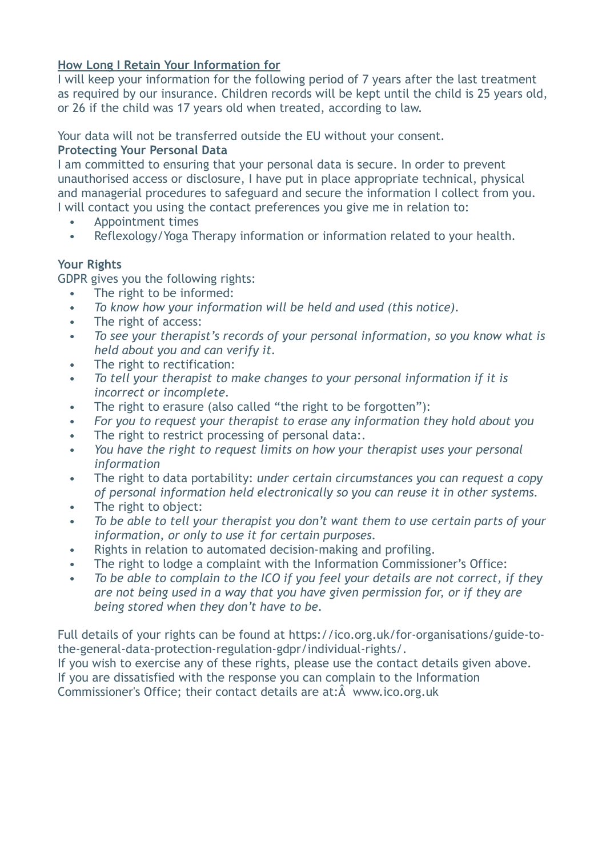# **How Long I Retain Your Information for**

I will keep your information for the following period of 7 years after the last treatment as required by our insurance. Children records will be kept until the child is 25 years old, or 26 if the child was 17 years old when treated, according to law.

### Your data will not be transferred outside the EU without your consent. **Protecting Your Personal Data**

I am committed to ensuring that your personal data is secure. In order to prevent unauthorised access or disclosure, I have put in place appropriate technical, physical and managerial procedures to safeguard and secure the information I collect from you. I will contact you using the contact preferences you give me in relation to:

- Appointment times
- Reflexology/Yoga Therapy information or information related to your health.

## **Your Rights**

GDPR gives you the following rights:

- The right to be informed:
- *• To know how your information will be held and used (this notice).*
- The right of access:
- *• To see your therapist's records of your personal information, so you know what is held about you and can verify it.*
- The right to rectification:
- *• To tell your therapist to make changes to your personal information if it is incorrect or incomplete.*
- The right to erasure (also called "the right to be forgotten"):
- *• For you to request your therapist to erase any information they hold about you*
- The right to restrict processing of personal data:.
- *• You have the right to request limits on how your therapist uses your personal information*
- The right to data portability: *under certain circumstances you can request a copy of personal information held electronically so you can reuse it in other systems.*
- The right to object:
- *• To be able to tell your therapist you don't want them to use certain parts of your information, or only to use it for certain purposes.*
- Rights in relation to automated decision-making and profiling.
- The right to lodge a complaint with the Information Commissioner's Office:
- *• To be able to complain to the ICO if you feel your details are not correct, if they are not being used in a way that you have given permission for, or if they are being stored when they don't have to be.*

[Full details of your rights can be found at https://ico.org.uk/for-organisations/guide-to](https://ico.org.uk/for-organisations/guide-to-the-general-data-protection-regulation-gdpr/individual-rights/)[the-general-data-protection-regulation-gdpr/individual-rights/.](https://ico.org.uk/for-organisations/guide-to-the-general-data-protection-regulation-gdpr/individual-rights/)

If you wish to exercise any of these rights, please use the contact details given above. If you are dissatisfied with the response you can complain to the [Information](https://ico.org.uk/)  [Commissioner's Office](https://ico.org.uk/); their contact details are at:Â [www.ico.org.uk](http://www.ico.org.uk/)